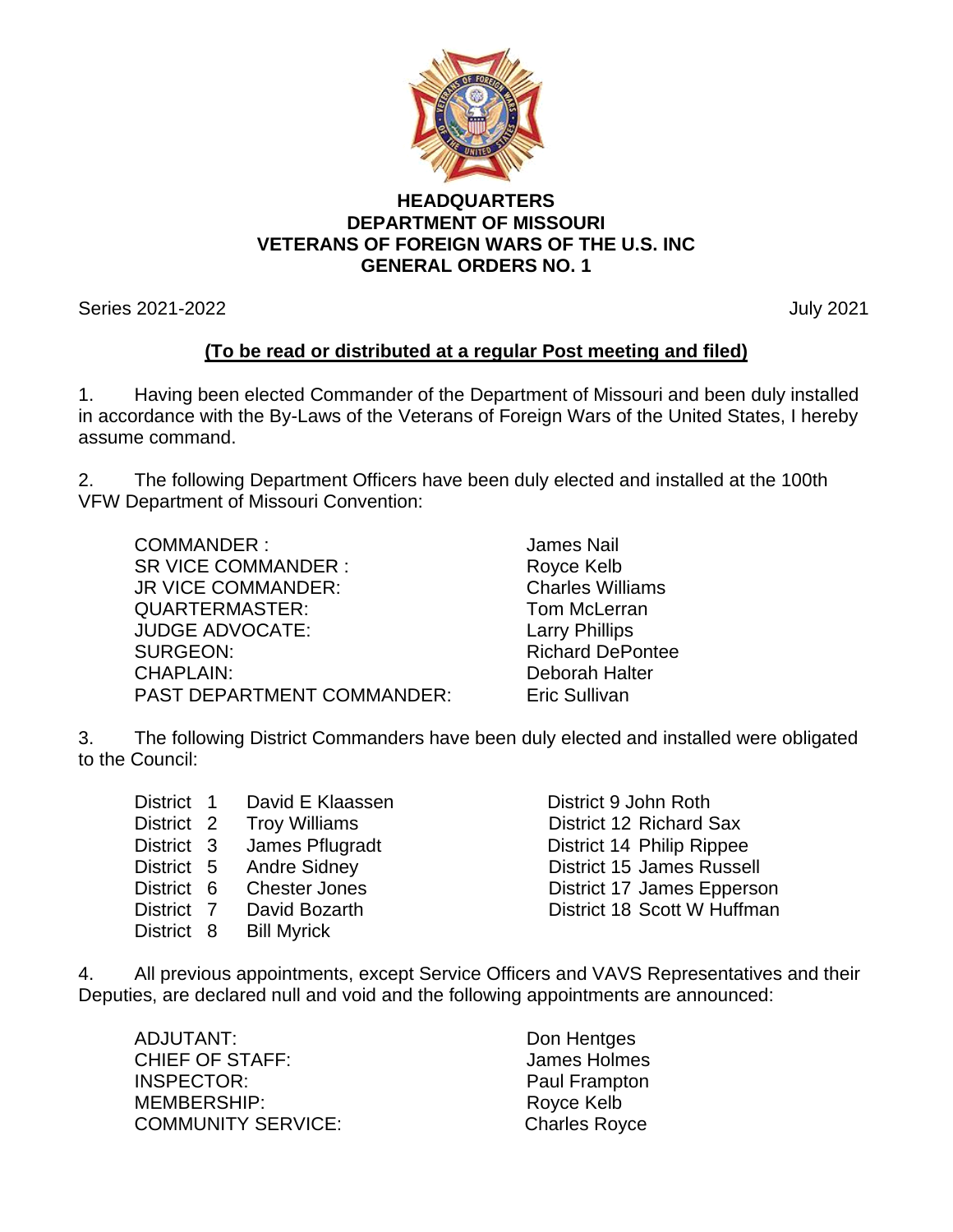

## **HEADQUARTERS DEPARTMENT OF MISSOURI VETERANS OF FOREIGN WARS OF THE U.S. INC GENERAL ORDERS NO. 1**

Series 2021-2022 July 2021

## **(To be read or distributed at a regular Post meeting and filed)**

1. Having been elected Commander of the Department of Missouri and been duly installed in accordance with the By-Laws of the Veterans of Foreign Wars of the United States, I hereby assume command.

2. The following Department Officers have been duly elected and installed at the 100th VFW Department of Missouri Convention:

COMMANDER : James Nail SR VICE COMMANDER : Royce Kelb JR VICE COMMANDER:<br>QUARTERMASTER: COMMANDER: Tom McLerran QUARTERMASTER: JUDGE ADVOCATE: Larry Phillips SURGEON: Richard DePontee CHAPLAIN: Deborah Halter PAST DEPARTMENT COMMANDER: Eric Sullivan

3. The following District Commanders have been duly elected and installed were obligated to the Council:

|  | District 1 David E Klaassen | District 9 John Roth             |
|--|-----------------------------|----------------------------------|
|  | District 2 Troy Williams    | District 12 Richard Sax          |
|  | District 3 James Pflugradt  | District 14 Philip Rippee        |
|  | District 5 Andre Sidney     | <b>District 15 James Russell</b> |
|  | District 6 Chester Jones    | District 17 James Epperson       |
|  | District 7 David Bozarth    | District 18 Scott W Huffman      |
|  | District 8 Bill Myrick      |                                  |

4. All previous appointments, except Service Officers and VAVS Representatives and their Deputies, are declared null and void and the following appointments are announced:

ADJUTANT: Don Hentges CHIEF OF STAFF: James Holmes INSPECTOR: Paul Frampton MEMBERSHIP: Royce Kelb COMMUNITY SERVICE: COMMUNITY SERVICE: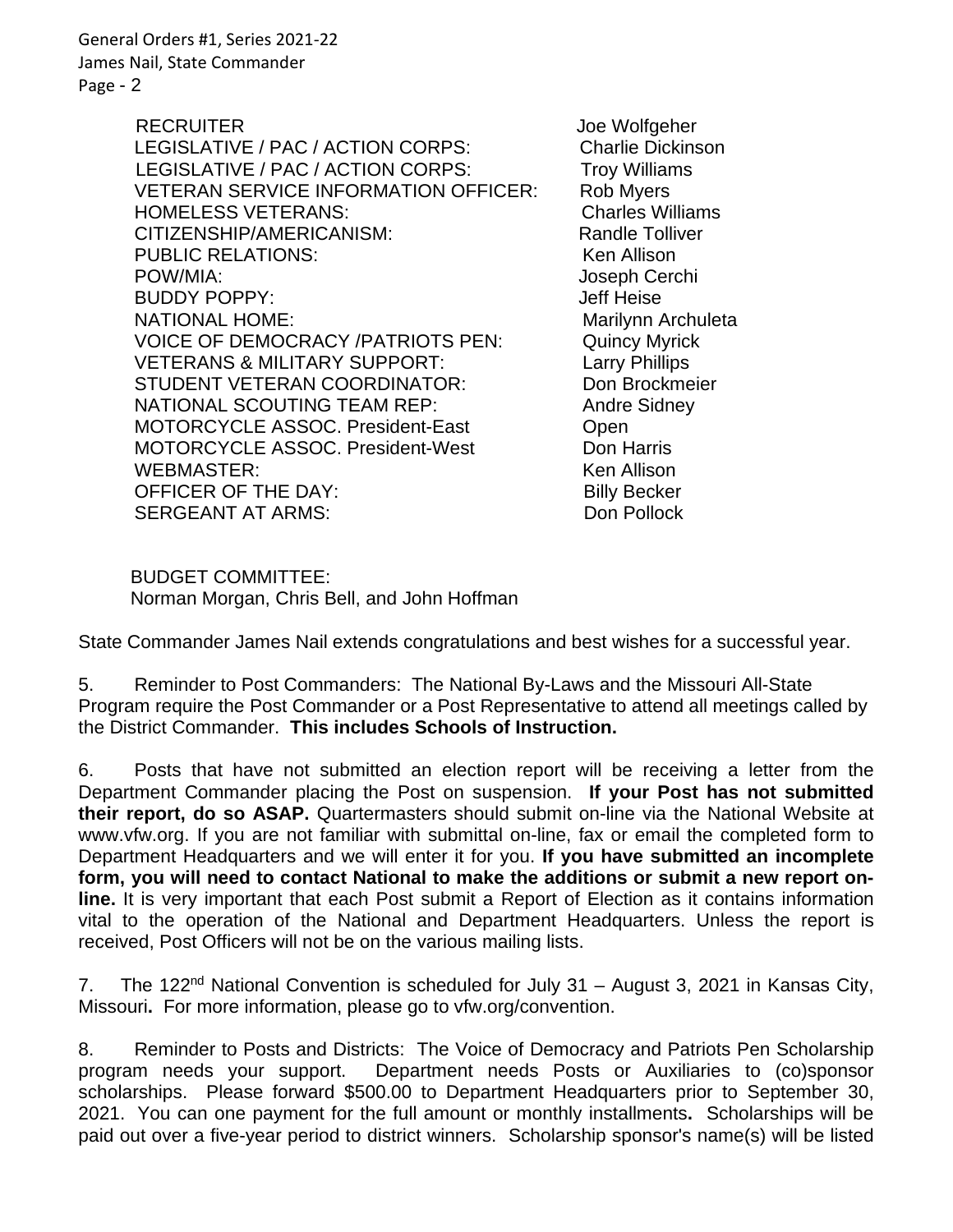General Orders #1, Series 2021-22 James Nail, State Commander Page - 2

> RECRUITER Joe Wolfgeher LEGISLATIVE / PAC / ACTION CORPS: Charlie Dickinson LEGISLATIVE / PAC / ACTION CORPS: Troy Williams VETERAN SERVICE INFORMATION OFFICER: Rob Myers HOMELESS VETERANS: Charles Williams CITIZENSHIP/AMERICANISM: Randle Tolliver PUBLIC RELATIONS: Wenness Allison POW/MIA: Joseph Cerchi BUDDY POPPY: Jeff Heise NATIONAL HOME: Marilynn Archuleta VOICE OF DEMOCRACY /PATRIOTS PEN: Quincy Myrick VETERANS & MILITARY SUPPORT: Larry Phillips STUDENT VETERAN COORDINATOR: Don Brockmeier NATIONAL SCOUTING TEAM REP: Andre Sidney MOTORCYCLE ASSOC. President-East Open MOTORCYCLE ASSOC. President-West Don Harris WEBMASTER: The Contract of the Museum of the Museum of the Museum of the Museum of the Museum of the Museum of the Museum of the Museum of the Museum of the Museum of the Museum of the Museum of the Museum of the Museum of OFFICER OF THE DAY: Billy Becker SERGEANT AT ARMS: Don Pollock

 BUDGET COMMITTEE: Norman Morgan, Chris Bell, and John Hoffman

State Commander James Nail extends congratulations and best wishes for a successful year.

5. Reminder to Post Commanders: The National By-Laws and the Missouri All-State Program require the Post Commander or a Post Representative to attend all meetings called by the District Commander. **This includes Schools of Instruction.**

6. Posts that have not submitted an election report will be receiving a letter from the Department Commander placing the Post on suspension. **If your Post has not submitted their report, do so ASAP.** Quartermasters should submit on-line via the National Website at www.vfw.org. If you are not familiar with submittal on-line, fax or email the completed form to Department Headquarters and we will enter it for you. **If you have submitted an incomplete form, you will need to contact National to make the additions or submit a new report online.** It is very important that each Post submit a Report of Election as it contains information vital to the operation of the National and Department Headquarters. Unless the report is received, Post Officers will not be on the various mailing lists.

7.The 122nd National Convention is scheduled for July 31 – August 3, 2021 in Kansas City, Missouri**.** For more information, please go to vfw.org/convention.

8. Reminder to Posts and Districts: The Voice of Democracy and Patriots Pen Scholarship program needs your support. Department needs Posts or Auxiliaries to (co)sponsor scholarships. Please forward \$500.00 to Department Headquarters prior to September 30, 2021. You can one payment for the full amount or monthly installments**.** Scholarships will be paid out over a five-year period to district winners. Scholarship sponsor's name(s) will be listed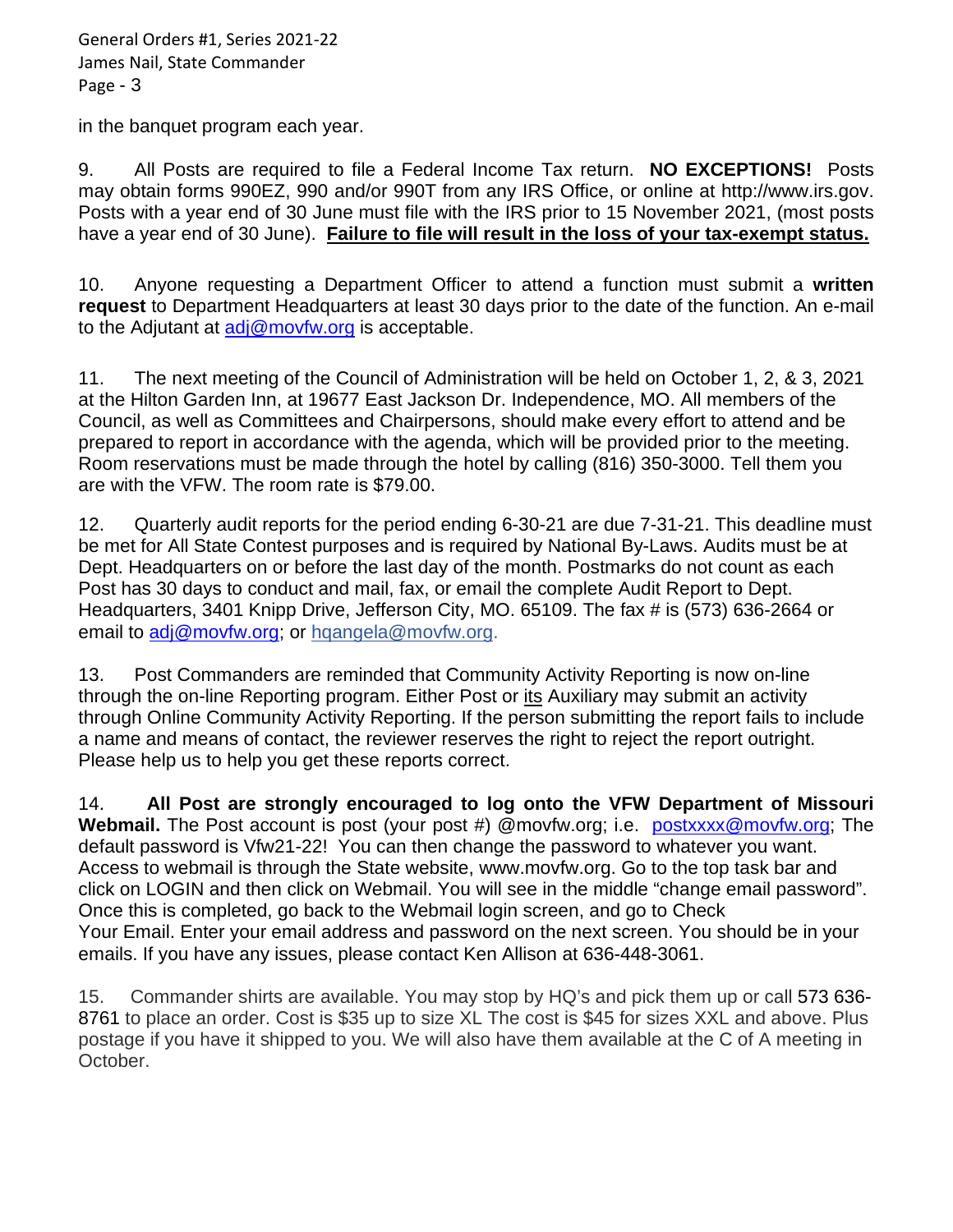General Orders #1, Series 2021-22 James Nail, State Commander Page - 3

in the banquet program each year.

9. All Posts are required to file a Federal Income Tax return. **NO EXCEPTIONS!** Posts may obtain forms 990EZ, 990 and/or 990T from any IRS Office, or online at http://www.irs.gov. Posts with a year end of 30 June must file with the IRS prior to 15 November 2021, (most posts have a year end of 30 June). **Failure to file will result in the loss of your tax-exempt status.**

10. Anyone requesting a Department Officer to attend a function must submit a **written request** to Department Headquarters at least 30 days prior to the date of the function. An e-mail to the Adjutant at  $\frac{adj@movfw.org}{complement}$  is acceptable.

11. The next meeting of the Council of Administration will be held on October 1, 2, & 3, 2021 at the Hilton Garden Inn, at 19677 East Jackson Dr. Independence, MO. All members of the Council, as well as Committees and Chairpersons, should make every effort to attend and be prepared to report in accordance with the agenda, which will be provided prior to the meeting. Room reservations must be made through the hotel by calling (816) 350-3000. Tell them you are with the VFW. The room rate is \$79.00.

12. Quarterly audit reports for the period ending 6-30-21 are due 7-31-21. This deadline must be met for All State Contest purposes and is required by National By-Laws. Audits must be at Dept. Headquarters on or before the last day of the month. Postmarks do not count as each Post has 30 days to conduct and mail, fax, or email the complete Audit Report to Dept. Headquarters, 3401 Knipp Drive, Jefferson City, MO. 65109. The fax # is (573) 636-2664 or email to [adj@movfw.org;](mailto:adj@movfw.org) or hqangela@movfw.org.

13. Post Commanders are reminded that Community Activity Reporting is now on-line through the on-line Reporting program. Either Post or its Auxiliary may submit an activity through Online Community Activity Reporting. If the person submitting the report fails to include a name and means of contact, the reviewer reserves the right to reject the report outright. Please help us to help you get these reports correct.

14. **All Post are strongly encouraged to log onto the VFW Department of Missouri Webmail.** The Post account is post (your post #) @movfw.org; i.e. [postxxxx@movfw.org;](mailto:postxxxx@movfw.org) The default password is Vfw21-22! You can then change the password to whatever you want. Access to webmail is through the State website, www.movfw.org. Go to the top task bar and click on LOGIN and then click on Webmail. You will see in the middle "change email password". Once this is completed, go back to the Webmail login screen, and go to Check Your Email. Enter your email address and password on the next screen. You should be in your emails. If you have any issues, please contact Ken Allison at 636-448-3061.

15. Commander shirts are available. You may stop by HQ's and pick them up or call 573 636- 8761 to place an order. Cost is \$35 up to size XL The cost is \$45 for sizes XXL and above. Plus postage if you have it shipped to you. We will also have them available at the C of A meeting in October.